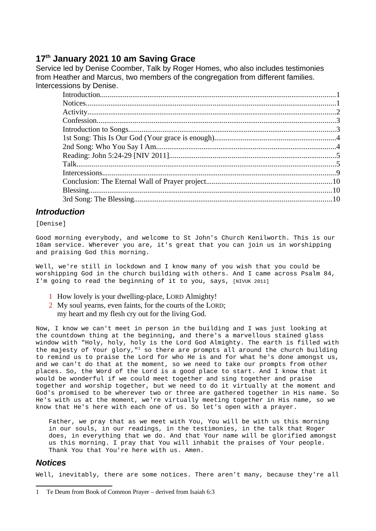# **17th January 2021 10 am Saving Grace**

Service led by Denise Coomber, Talk by Roger Homes, who also includes testimonies from Heather and Marcus, two members of the congregation from different families. Intercessions by Denise.

## <span id="page-0-0"></span>*Introduction*

[Denise]

Good morning everybody, and welcome to St John's Church Kenilworth. This is our 10am service. Wherever you are, it's great that you can join us in worshipping and praising God this morning.

Well, we're still in lockdown and I know many of you wish that you could be worshipping God in the church building with others. And I came across Psalm 84, I'm going to read the beginning of it to you, says, [NIVUK 2011]

- 1 How lovely is your dwelling-place, LORD Almighty!
- 2 My soul yearns, even faints, for the courts of the LORD; my heart and my flesh cry out for the living God.

Now, I know we can't meet in person in the building and I was just looking at the countdown thing at the beginning, and there's a marvellous stained glass window with "Holy, holy, holy is the Lord God Almighty. The earth is filled with the majesty of Your glory,  $11$  $11$  so there are prompts all around the church building to remind us to praise the Lord for who He is and for what he's done amongst us, and we can't do that at the moment, so we need to take our prompts from other places. So, the Word of the Lord is a good place to start. And I know that it would be wonderful if we could meet together and sing together and praise together and worship together, but we need to do it virtually at the moment and God's promised to be wherever two or three are gathered together in His name. So He's with us at the moment, we're virtually meeting together in His name, so we know that He's here with each one of us. So let's open with a prayer.

Father, we pray that as we meet with You, You will be with us this morning in our souls, in our readings, in the testimonies, in the talk that Roger does, in everything that we do. And that Your name will be glorified amongst us this morning. I pray that You will inhabit the praises of Your people. Thank You that You're here with us. Amen.

## <span id="page-0-1"></span>*Notices*

Well, inevitably, there are some notices. There aren't many, because they're all

<span id="page-0-2"></span><sup>1</sup> Te Deum from Book of Common Prayer – derived from Isaiah 6:3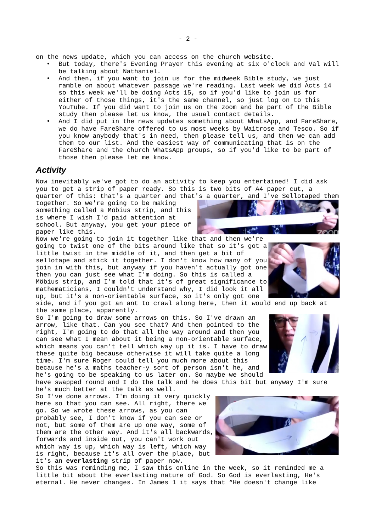on the news update, which you can access on the church website.

- But today, there's Evening Prayer this evening at six o'clock and Val will be talking about Nathaniel.
- And then, if you want to join us for the midweek Bible study, we just ramble on about whatever passage we're reading. Last week we did Acts 14 so this week we'll be doing Acts 15, so if you'd like to join us for either of those things, it's the same channel, so just log on to this YouTube. If you did want to join us on the zoom and be part of the Bible study then please let us know, the usual contact details.
- And I did put in the news updates something about WhatsApp, and FareShare, we do have FareShare offered to us most weeks by Waitrose and Tesco. So if you know anybody that's in need, then please tell us, and then we can add them to our list. And the easiest way of communicating that is on the FareShare and the church WhatsApp groups, so if you'd like to be part of those then please let me know.

### <span id="page-1-0"></span>*Activity*

Now inevitably we've got to do an activity to keep you entertained! I did ask you to get a strip of paper ready. So this is two bits of A4 paper cut, a quarter of this: that's a quarter and that's a quarter, and I've Sellotaped them

together. So we're going to be making something called a Möbius strip, and this is where I wish I'd paid attention at school. But anyway, you get your piece of paper like this.

Now we're going to join it together like that and then we're going to twist one of the bits around like that so it's got a little twist in the middle of it, and then get a bit of sellotape and stick it together. I don't know how many of you join in with this, but anyway if you haven't actually got one then you can just see what I'm doing. So this is called a Möbius strip, and I'm told that it's of great significance to mathematicians, I couldn't understand why, I did look it all up, but it's a non-orientable surface, so it's only got one

side, and if you got an ant to crawl along here, then it would end up back at the same place, apparently.

So I'm going to draw some arrows on this. So I've drawn an arrow, like that. Can you see that? And then pointed to the right, I'm going to do that all the way around and then you can see what I mean about it being a non-orientable surface, which means you can't tell which way up it is. I have to draw these quite big because otherwise it will take quite a long time. I'm sure Roger could tell you much more about this because he's a maths teacher-y sort of person isn't he, and he's going to be speaking to us later on. So maybe we should

have swapped round and I do the talk and he does this bit but anyway I'm sure he's much better at the talk as well.

So I've done arrows. I'm doing it very quickly here so that you can see. All right, there we go. So we wrote these arrows, as you can probably see, I don't know if you can see or not, but some of them are up one way, some of them are the other way. And it's all backwards, forwards and inside out, you can't work out which way is up, which way is left, which way is right, because it's all over the place, but it's an **everlasting** strip of paper now.

So this was reminding me, I saw this online in the week, so it reminded me a little bit about the everlasting nature of God. So God is everlasting, He's eternal. He never changes. In James 1 it says that "He doesn't change like



هما





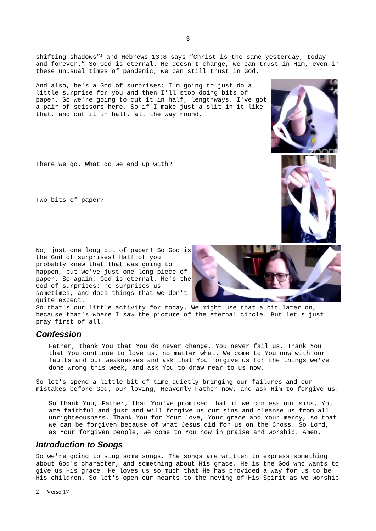shifting shadows"[2](#page-2-2) and Hebrews 13:8 says "Christ is the same yesterday, today and forever." So God is eternal. He doesn't change, we can trust in Him, even in these unusual times of pandemic, we can still trust in God.

And also, he's a God of surprises: I'm going to just do a little surprise for you and then I'll stop doing bits of paper. So we're going to cut it in half, lengthways. I've got a pair of scissors here. So if I make just a slit in it like that, and cut it in half, all the way round.

There we go. What do we end up with?

Two bits of paper?

No, just one long bit of paper! So God is the God of surprises! Half of you probably knew that that was going to happen, but we've just one long piece of paper. So again, God is eternal. He's the God of surprises: he surprises us sometimes, and does things that we don't quite expect.

So that's our little activity for today. We might use that a bit later on, because that's where I saw the picture of the eternal circle. But let's just pray first of all.

#### <span id="page-2-1"></span>*Confession*

Father, thank You that You do never change, You never fail us. Thank You that You continue to love us, no matter what. We come to You now with our faults and our weaknesses and ask that You forgive us for the things we've done wrong this week, and ask You to draw near to us now.

So let's spend a little bit of time quietly bringing our failures and our mistakes before God, our loving, Heavenly Father now, and ask Him to forgive us.

So thank You, Father, that You've promised that if we confess our sins, You are faithful and just and will forgive us our sins and cleanse us from all unrighteousness. Thank You for Your love, Your grace and Your mercy, so that we can be forgiven because of what Jesus did for us on the Cross. So Lord, as Your forgiven people, we come to You now in praise and worship. Amen.

#### <span id="page-2-0"></span>*Introduction to Songs*

<span id="page-2-2"></span>So we're going to sing some songs. The songs are written to express something about God's character, and something about His grace. He is the God who wants to give us His grace. He loves us so much that He has provided a way for us to be His children. So let's open our hearts to the moving of His Spirit as we worship



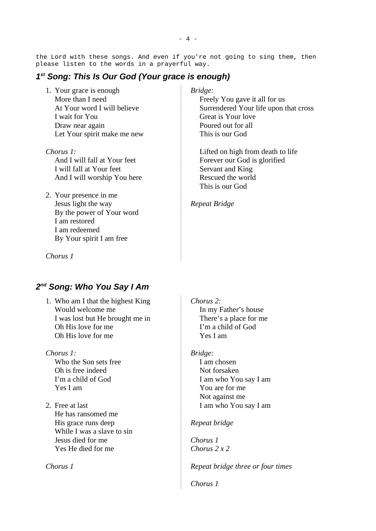the Lord with these songs. And even if you're not going to sing them, then please listen to the words in a prayerful way.

## <span id="page-3-1"></span>*1 st Song: This Is Our God (Your grace is enough)*

| 1. Your grace is enough<br>More than I need<br>At Your word I will believe<br>I wait for You<br>Draw near again<br>Let Your spirit make me new | Bridge:<br>Freely You gave it all for us<br>Surrendered Your life upon that cross<br>Great is Your love<br>Poured out for all<br>This is our God |
|------------------------------------------------------------------------------------------------------------------------------------------------|--------------------------------------------------------------------------------------------------------------------------------------------------|
| Chorus 1:<br>And I will fall at Your feet<br>I will fall at Your feet<br>And I will worship You here                                           | Lifted on high from death to life<br>Forever our God is glorified<br>Servant and King<br>Rescued the world<br>This is our God                    |
| 2. Your presence in me                                                                                                                         |                                                                                                                                                  |
| Jesus light the way<br>By the power of Your word<br>I am restored<br>I am redeemed<br>By Your spirit I am free                                 | Repeat Bridge                                                                                                                                    |
| Chorus 1                                                                                                                                       |                                                                                                                                                  |

## <span id="page-3-0"></span>*2 nd Song: Who You Say I Am*

- 1. Who am I that the highest King Would welcome me I was lost but He brought me in Oh His love for me Oh His love for me
- *Chorus 1:* Who the Son sets free Oh is free indeed I'm a child of God Yes I am
- 2. Free at last He has ransomed me His grace runs deep While I was a slave to sin Jesus died for me Yes He died for me

*Chorus 1*

*Chorus 2:* In my Father's house There's a place for me I'm a child of God Yes I am

## *Bridge:* I am chosen Not forsaken I am who You say I am You are for me Not against me I am who You say I am

*Repeat bridge*

*Chorus 1 Chorus 2 x 2*

*Repeat bridge three or four times*

*Chorus 1*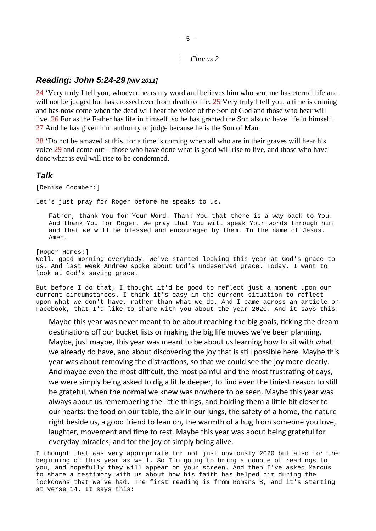*Chorus 2*

- 5 -

### <span id="page-4-1"></span>*Reading: John 5:24-29 [NIV 2011]*

24 'Very truly I tell you, whoever hears my word and believes him who sent me has eternal life and will not be judged but has crossed over from death to life. 25 Very truly I tell you, a time is coming and has now come when the dead will hear the voice of the Son of God and those who hear will live. 26 For as the Father has life in himself, so he has granted the Son also to have life in himself. 27 And he has given him authority to judge because he is the Son of Man.

28 'Do not be amazed at this, for a time is coming when all who are in their graves will hear his voice 29 and come out – those who have done what is good will rise to live, and those who have done what is evil will rise to be condemned.

### <span id="page-4-0"></span>*Talk*

[Denise Coomber:]

Let's just pray for Roger before he speaks to us.

Father, thank You for Your Word. Thank You that there is a way back to You. And thank You for Roger. We pray that You will speak Your words through him and that we will be blessed and encouraged by them. In the name of Jesus. Amen.

[Roger Homes:] Well, good morning everybody. We've started looking this year at God's grace to us. And last week Andrew spoke about God's undeserved grace. Today, I want to look at God's saving grace.

But before I do that, I thought it'd be good to reflect just a moment upon our current circumstances. I think it's easy in the current situation to reflect upon what we don't have, rather than what we do. And I came across an article on Facebook, that I'd like to share with you about the year 2020. And it says this:

Maybe this year was never meant to be about reaching the big goals, ticking the dream destinations off our bucket lists or making the big life moves we've been planning. Maybe, just maybe, this year was meant to be about us learning how to sit with what we already do have, and about discovering the joy that is still possible here. Maybe this year was about removing the distractions, so that we could see the joy more clearly. And maybe even the most difficult, the most painful and the most frustrating of days, we were simply being asked to dig a little deeper, to find even the tiniest reason to still be grateful, when the normal we knew was nowhere to be seen. Maybe this year was always about us remembering the little things, and holding them a little bit closer to our hearts: the food on our table, the air in our lungs, the safety of a home, the nature right beside us, a good friend to lean on, the warmth of a hug from someone you love, laughter, movement and time to rest. Maybe this year was about being grateful for everyday miracles, and for the joy of simply being alive.

I thought that was very appropriate for not just obviously 2020 but also for the beginning of this year as well. So I'm going to bring a couple of readings to you, and hopefully they will appear on your screen. And then I've asked Marcus to share a testimony with us about how his faith has helped him during the lockdowns that we've had. The first reading is from Romans 8, and it's starting at verse 14. It says this: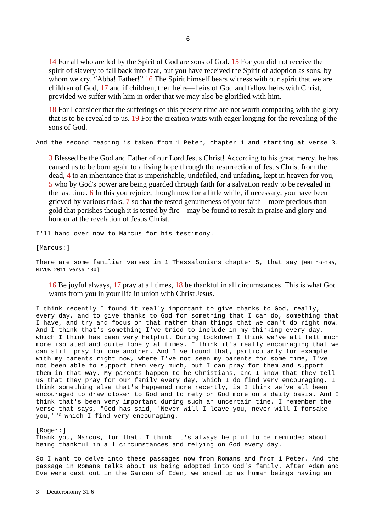14 For all who are led by the Spirit of God are sons of God. 15 For you did not receive the spirit of slavery to fall back into fear, but you have received the Spirit of adoption as sons, by whom we cry, "Abba! Father!" 16 The Spirit himself bears witness with our spirit that we are children of God, 17 and if children, then heirs—heirs of God and fellow heirs with Christ, provided we suffer with him in order that we may also be glorified with him.

18 For I consider that the sufferings of this present time are not worth comparing with the glory that is to be revealed to us. 19 For the creation waits with eager longing for the revealing of the sons of God.

And the second reading is taken from 1 Peter, chapter 1 and starting at verse 3.

3 Blessed be the God and Father of our Lord Jesus Christ! According to his great mercy, he has caused us to be born again to a living hope through the resurrection of Jesus Christ from the dead, 4 to an inheritance that is imperishable, undefiled, and unfading, kept in heaven for you, 5 who by God's power are being guarded through faith for a salvation ready to be revealed in the last time. 6 In this you rejoice, though now for a little while, if necessary, you have been grieved by various trials, 7 so that the tested genuineness of your faith—more precious than gold that perishes though it is tested by fire—may be found to result in praise and glory and honour at the revelation of Jesus Christ.

I'll hand over now to Marcus for his testimony.

#### [Marcus:]

There are some familiar verses in 1 Thessalonians chapter 5, that say  $[GNT]$  16-18a, NIVUK 2011 verse 18b]

16 Be joyful always, 17 pray at all times, 18 be thankful in all circumstances. This is what God wants from you in your life in union with Christ Jesus.

I think recently I found it really important to give thanks to God, really, every day, and to give thanks to God for something that I can do, something that I have, and try and focus on that rather than things that we can't do right now. And I think that's something I've tried to include in my thinking every day, which I think has been very helpful. During lockdown I think we've all felt much more isolated and quite lonely at times. I think it's really encouraging that we can still pray for one another. And I've found that, particularly for example with my parents right now, where I've not seen my parents for some time, I've not been able to support them very much, but I can pray for them and support them in that way. My parents happen to be Christians, and I know that they tell us that they pray for our family every day, which I do find very encouraging. I think something else that's happened more recently, is I think we've all been encouraged to draw closer to God and to rely on God more on a daily basis. And I think that's been very important during such an uncertain time. I remember the verse that says, "God has said, 'Never will I leave you, never will I forsake you,'"[3](#page-5-0) which I find very encouraging.

[Roger:]

Thank you, Marcus, for that. I think it's always helpful to be reminded about being thankful in all circumstances and relying on God every day.

So I want to delve into these passages now from Romans and from 1 Peter. And the passage in Romans talks about us being adopted into God's family. After Adam and Eve were cast out in the Garden of Eden, we ended up as human beings having an

<span id="page-5-0"></span><sup>3</sup> Deuteronomy 31:6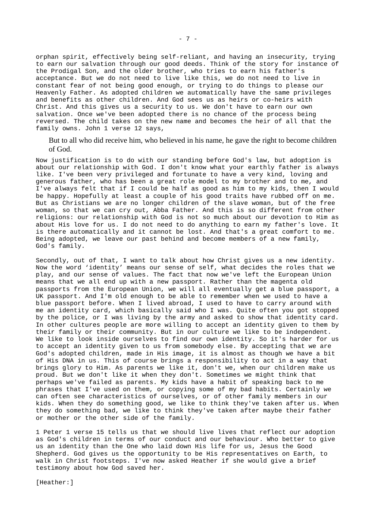orphan spirit, effectively being self-reliant, and having an insecurity, trying to earn our salvation through our good deeds. Think of the story for instance of the Prodigal Son, and the older brother, who tries to earn his father's acceptance. But we do not need to live like this, we do not need to live in constant fear of not being good enough, or trying to do things to please our Heavenly Father. As adopted children we automatically have the same privileges and benefits as other children. And God sees us as heirs or co-heirs with Christ. And this gives us a security to us. We don't have to earn our own salvation. Once we've been adopted there is no chance of the process being reversed. The child takes on the new name and becomes the heir of all that the family owns. John 1 verse 12 says,

But to all who did receive him, who believed in his name, he gave the right to become children of God.

Now justification is to do with our standing before God's law, but adoption is about our relationship with God. I don't know what your earthly father is always like. I've been very privileged and fortunate to have a very kind, loving and generous father, who has been a great role model to my brother and to me, and I've always felt that if I could be half as good as him to my kids, then I would be happy. Hopefully at least a couple of his good traits have rubbed off on me. But as Christians we are no longer children of the slave woman, but of the free woman, so that we can cry out, Abba Father. And this is so different from other religions: our relationship with God is not so much about our devotion to Him as about His love for us. I do not need to do anything to earn my father's love. It is there automatically and it cannot be lost. And that's a great comfort to me. Being adopted, we leave our past behind and become members of a new family, God's family.

Secondly, out of that, I want to talk about how Christ gives us a new identity. Now the word 'identity' means our sense of self, what decides the roles that we play, and our sense of values. The fact that now we've left the European Union means that we all end up with a new passport. Rather than the magenta old passports from the European Union, we will all eventually get a blue passport, a UK passport. And I'm old enough to be able to remember when we used to have a blue passport before. When I lived abroad, I used to have to carry around with me an identity card, which basically said who I was. Quite often you got stopped by the police, or I was living by the army and asked to show that identity card. In other cultures people are more willing to accept an identity given to them by their family or their community. But in our culture we like to be independent. We like to look inside ourselves to find our own identity. So it's harder for us to accept an identity given to us from somebody else. By accepting that we are God's adopted children, made in His image, it is almost as though we have a bit of His DNA in us. This of course brings a responsibility to act in a way that brings glory to Him. As parents we like it, don't we, when our children make us proud. But we don't like it when they don't. Sometimes we might think that perhaps we've failed as parents. My kids have a habit of speaking back to me phrases that I've used on them, or copying some of my bad habits. Certainly we can often see characteristics of ourselves, or of other family members in our kids. When they do something good, we like to think they've taken after us. When they do something bad, we like to think they've taken after maybe their father or mother or the other side of the family.

1 Peter 1 verse 15 tells us that we should live lives that reflect our adoption as God's children in terms of our conduct and our behaviour. Who better to give us an identity than the One who laid down His life for us, Jesus the Good Shepherd. God gives us the opportunity to be His representatives on Earth, to walk in Christ footsteps. I've now asked Heather if she would give a brief testimony about how God saved her.

[Heather:]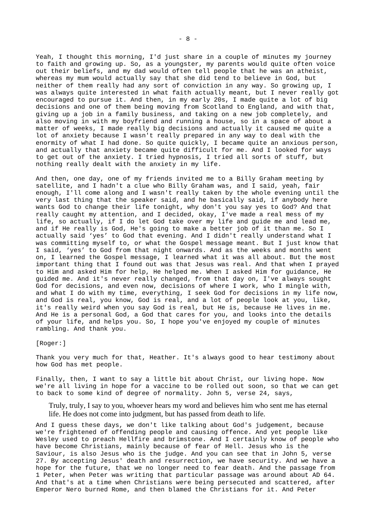Yeah, I thought this morning, I'd just share in a couple of minutes my journey to faith and growing up. So, as a youngster, my parents would quite often voice out their beliefs, and my dad would often tell people that he was an atheist, whereas my mum would actually say that she did tend to believe in God, but neither of them really had any sort of conviction in any way. So growing up, I was always quite interested in what faith actually meant, but I never really got encouraged to pursue it. And then, in my early 20s, I made quite a lot of big decisions and one of them being moving from Scotland to England, and with that, giving up a job in a family business, and taking on a new job completely, and also moving in with my boyfriend and running a house, so in a space of about a matter of weeks, I made really big decisions and actually it caused me quite a lot of anxiety because I wasn't really prepared in any way to deal with the enormity of what I had done. So quite quickly, I became quite an anxious person, and actually that anxiety became quite difficult for me. And I looked for ways to get out of the anxiety. I tried hypnosis, I tried all sorts of stuff, but nothing really dealt with the anxiety in my life.

And then, one day, one of my friends invited me to a Billy Graham meeting by satellite, and I hadn't a clue who Billy Graham was, and I said, yeah, fair enough, I'll come along and I wasn't really taken by the whole evening until the very last thing that the speaker said, and he basically said, if anybody here wants God to change their life tonight, why don't you say yes to God? And that really caught my attention, and I decided, okay, I've made a real mess of my life, so actually, if I do let God take over my life and guide me and lead me, and if He really is God, He's going to make a better job of it than me. So I actually said 'yes' to God that evening. And I didn't really understand what I was committing myself to, or what the Gospel message meant. But I just know that I said, 'yes' to God from that night onwards. And as the weeks and months went on, I learned the Gospel message, I learned what it was all about. But the most important thing that I found out was that Jesus was real. And that when I prayed to Him and asked Him for help, He helped me. When I asked Him for guidance, He guided me. And it's never really changed, from that day on, I've always sought God for decisions, and even now, decisions of where I work, who I mingle with, and what I do with my time, everything, I seek God for decisions in my life now, and God is real, you know, God is real, and a lot of people look at you, like, it's really weird when you say God is real, but He is, because He lives in me. And He is a personal God, a God that cares for you, and looks into the details of your life, and helps you. So, I hope you've enjoyed my couple of minutes rambling. And thank you.

#### [Roger:]

Thank you very much for that, Heather. It's always good to hear testimony about how God has met people.

Finally, then, I want to say a little bit about Christ, our living hope. Now we're all living in hope for a vaccine to be rolled out soon, so that we can get to back to some kind of degree of normality. John 5, verse 24, says,

Truly, truly, I say to you, whoever hears my word and believes him who sent me has eternal life. He does not come into judgment, but has passed from death to life.

And I guess these days, we don't like talking about God's judgement, because we're frightened of offending people and causing offence. And yet people like Wesley used to preach Hellfire and brimstone. And I certainly know of people who have become Christians, mainly because of fear of Hell. Jesus who is the Saviour, is also Jesus who is the judge. And you can see that in John 5, verse 27. By accepting Jesus' death and resurrection, we have security. And we have a hope for the future, that we no longer need to fear death. And the passage from 1 Peter, when Peter was writing that particular passage was around about AD 64. And that's at a time when Christians were being persecuted and scattered, after Emperor Nero burned Rome, and then blamed the Christians for it. And Peter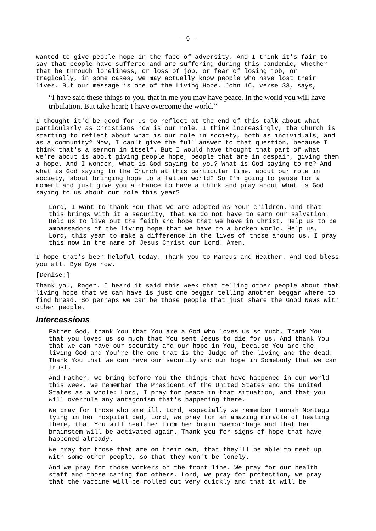wanted to give people hope in the face of adversity. And I think it's fair to say that people have suffered and are suffering during this pandemic, whether that be through loneliness, or loss of job, or fear of losing job, or tragically, in some cases, we may actually know people who have lost their lives. But our message is one of the Living Hope. John 16, verse 33, says,

"I have said these things to you, that in me you may have peace. In the world you will have tribulation. But take heart; I have overcome the world."

I thought it'd be good for us to reflect at the end of this talk about what particularly as Christians now is our role. I think increasingly, the Church is starting to reflect about what is our role in society, both as individuals, and as a community? Now, I can't give the full answer to that question, because I think that's a sermon in itself. But I would have thought that part of what we're about is about giving people hope, people that are in despair, giving them a hope. And I wonder, what is God saying to you? What is God saying to me? And what is God saying to the Church at this particular time, about our role in society, about bringing hope to a fallen world? So I'm going to pause for a moment and just give you a chance to have a think and pray about what is God saying to us about our role this year?

Lord, I want to thank You that we are adopted as Your children, and that this brings with it a security, that we do not have to earn our salvation. Help us to live out the faith and hope that we have in Christ. Help us to be ambassadors of the living hope that we have to a broken world. Help us, Lord, this year to make a difference in the lives of those around us. I pray this now in the name of Jesus Christ our Lord. Amen.

I hope that's been helpful today. Thank you to Marcus and Heather. And God bless you all. Bye Bye now.

#### [Denise:]

Thank you, Roger. I heard it said this week that telling other people about that living hope that we can have is just one beggar telling another beggar where to find bread. So perhaps we can be those people that just share the Good News with other people.

#### <span id="page-8-0"></span>*Intercessions*

Father God, thank You that You are a God who loves us so much. Thank You that you loved us so much that You sent Jesus to die for us. And thank You that we can have our security and our hope in You, because You are the living God and You're the one that is the Judge of the living and the dead. Thank You that we can have our security and our hope in Somebody that we can trust.

And Father, we bring before You the things that have happened in our world this week, we remember the President of the United States and the United States as a whole: Lord, I pray for peace in that situation, and that you will overrule any antagonism that's happening there.

We pray for those who are ill. Lord, especially we remember Hannah Montagu lying in her hospital bed, Lord, we pray for an amazing miracle of healing there, that You will heal her from her brain haemorrhage and that her brainstem will be activated again. Thank you for signs of hope that have happened already.

We pray for those that are on their own, that they'll be able to meet up with some other people, so that they won't be lonely.

And we pray for those workers on the front line. We pray for our health staff and those caring for others. Lord, we pray for protection, we pray that the vaccine will be rolled out very quickly and that it will be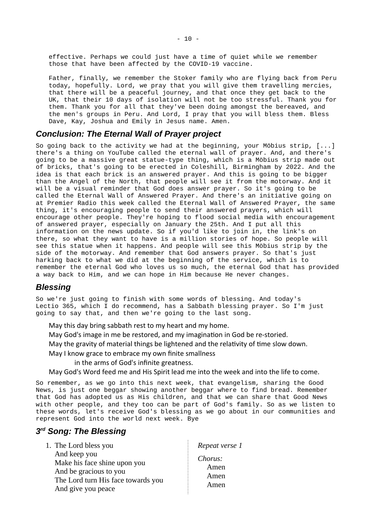effective. Perhaps we could just have a time of quiet while we remember those that have been affected by the COVID-19 vaccine.

Father, finally, we remember the Stoker family who are flying back from Peru today, hopefully. Lord, we pray that you will give them travelling mercies, that there will be a peaceful journey, and that once they get back to the UK, that their 10 days of isolation will not be too stressful. Thank you for them. Thank you for all that they've been doing amongst the bereaved, and the men's groups in Peru. And Lord, I pray that you will bless them. Bless Dave, Kay, Joshua and Emily in Jesus name. Amen.

### <span id="page-9-2"></span>*Conclusion: The Eternal Wall of Prayer project*

So going back to the activity we had at the beginning, your Möbius strip, [...] there's a thing on YouTube called the eternal wall of prayer. And, and there's going to be a massive great statue-type thing, which is a Möbius strip made out of bricks, that's going to be erected in Coleshill, Birmingham by 2022. And the idea is that each brick is an answered prayer. And this is going to be bigger than the Angel of the North, that people will see it from the motorway. And it will be a visual reminder that God does answer prayer. So it's going to be called the Eternal Wall of Answered Prayer. And there's an initiative going on at Premier Radio this week called the Eternal Wall of Answered Prayer, the same thing, it's encouraging people to send their answered prayers, which will encourage other people. They're hoping to flood social media with encouragement of answered prayer, especially on January the 25th. And I put all this information on the news update. So if you'd like to join in, the link's on there, so what they want to have is a million stories of hope. So people will see this statue when it happens. And people will see this Möbius strip by the side of the motorway. And remember that God answers prayer. So that's just harking back to what we did at the beginning of the service, which is to remember the eternal God who loves us so much, the eternal God that has provided a way back to Him, and we can hope in Him because He never changes.

#### <span id="page-9-1"></span>*Blessing*

So we're just going to finish with some words of blessing. And today's Lectio 365, which I do recommend, has a Sabbath blessing prayer. So I'm just going to say that, and then we're going to the last song.

- May this day bring sabbath rest to my heart and my home.
- May God's image in me be restored, and my imagination in God be re-storied.
- May the gravity of material things be lightened and the relativity of time slow down.
- May I know grace to embrace my own finite smallness

in the arms of God's infinite greatness.

May God's Word feed me and His Spirit lead me into the week and into the life to come.

So remember, as we go into this next week, that evangelism, sharing the Good News, is just one beggar showing another beggar where to find bread. Remember that God has adopted us as His children, and that we can share that Good News with other people, and they too can be part of God's family. So as we listen to these words, let's receive God's blessing as we go about in our communities and represent God into the world next week. Bye

## <span id="page-9-0"></span>*3 rd Song: The Blessing*

| 1. The Lord bless you                                                                                                              | Repeat verse 1                  |
|------------------------------------------------------------------------------------------------------------------------------------|---------------------------------|
| And keep you<br>Make his face shine upon you<br>And be gracious to you<br>The Lord turn His face towards you<br>And give you peace | Chorus:<br>Amen<br>Amen<br>Amen |
|                                                                                                                                    |                                 |